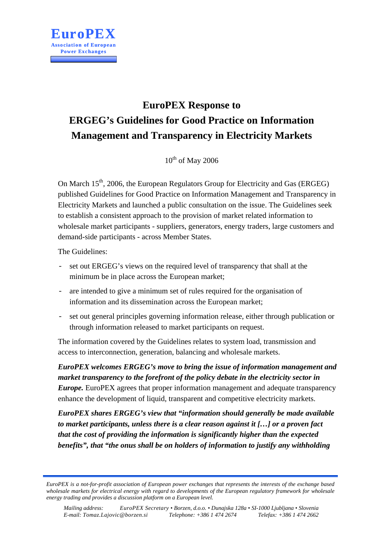

# **EuroPEX Response to ERGEG's Guidelines for Good Practice on Information Management and Transparency in Electricity Markets**

 $10^{th}$  of May 2006

On March  $15<sup>th</sup>$ , 2006, the European Regulators Group for Electricity and Gas (ERGEG) published Guidelines for Good Practice on Information Management and Transparency in Electricity Markets and launched a public consultation on the issue. The Guidelines seek to establish a consistent approach to the provision of market related information to wholesale market participants - suppliers, generators, energy traders, large customers and demand-side participants - across Member States.

The Guidelines:

- set out ERGEG's views on the required level of transparency that shall at the minimum be in place across the European market;
- are intended to give a minimum set of rules required for the organisation of information and its dissemination across the European market;
- set out general principles governing information release, either through publication or through information released to market participants on request.

The information covered by the Guidelines relates to system load, transmission and access to interconnection, generation, balancing and wholesale markets.

*EuroPEX welcomes ERGEG's move to bring the issue of information management and market transparency to the forefront of the policy debate in the electricity sector in Europe*. EuroPEX agrees that proper information management and adequate transparency enhance the development of liquid, transparent and competitive electricity markets.

*EuroPEX shares ERGEG's view that "information should generally be made available to market participants, unless there is a clear reason against it […] or a proven fact that the cost of providing the information is significantly higher than the expected benefits", that "the onus shall be on holders of information to justify any withholding* 

*EuroPEX is a not-for-profit association of European power exchanges that represents the interests of the exchange based wholesale markets for electrical energy with regard to developments of the European regulatory framework for wholesale energy trading and provides a discussion platform on a European level.*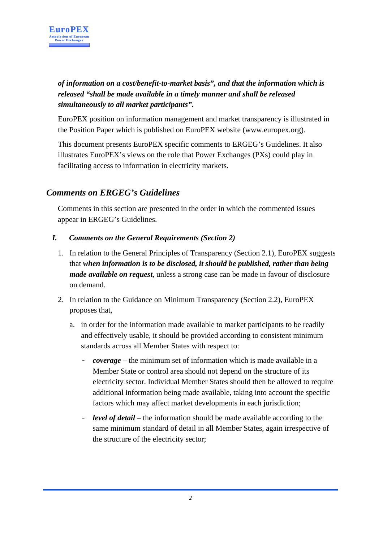

*of information on a cost/benefit-to-market basis", and that the information which is released "shall be made available in a timely manner and shall be released simultaneously to all market participants".* 

EuroPEX position on information management and market transparency is illustrated in the Position Paper which is published on EuroPEX website (www.europex.org).

This document presents EuroPEX specific comments to ERGEG's Guidelines. It also illustrates EuroPEX's views on the role that Power Exchanges (PXs) could play in facilitating access to information in electricity markets.

## *Comments on ERGEG's Guidelines*

Comments in this section are presented in the order in which the commented issues appear in ERGEG's Guidelines.

- *I. Comments on the General Requirements (Section 2)* 
	- 1. In relation to the General Principles of Transparency (Section 2.1), EuroPEX suggests that *when information is to be disclosed, it should be published, rather than being made available on request*, unless a strong case can be made in favour of disclosure on demand.
	- 2. In relation to the Guidance on Minimum Transparency (Section 2.2), EuroPEX proposes that,
		- a. in order for the information made available to market participants to be readily and effectively usable, it should be provided according to consistent minimum standards across all Member States with respect to:
			- *coverage* the minimum set of information which is made available in a Member State or control area should not depend on the structure of its electricity sector. Individual Member States should then be allowed to require additional information being made available, taking into account the specific factors which may affect market developments in each jurisdiction;
			- *level of detail* the information should be made available according to the same minimum standard of detail in all Member States, again irrespective of the structure of the electricity sector;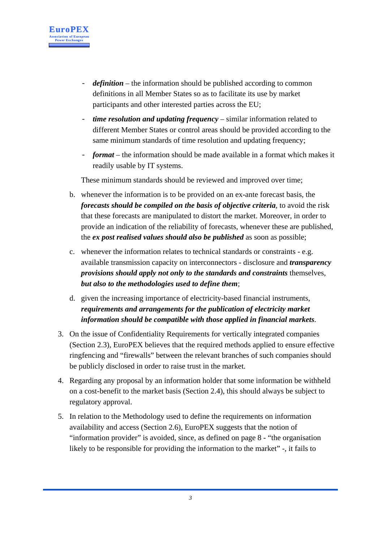

- *definition* the information should be published according to common definitions in all Member States so as to facilitate its use by market participants and other interested parties across the EU;
- *time resolution and updating frequency* similar information related to different Member States or control areas should be provided according to the same minimum standards of time resolution and updating frequency;
- *format* the information should be made available in a format which makes it readily usable by IT systems.

These minimum standards should be reviewed and improved over time;

- b. whenever the information is to be provided on an ex-ante forecast basis, the *forecasts should be compiled on the basis of objective criteria*, to avoid the risk that these forecasts are manipulated to distort the market. Moreover, in order to provide an indication of the reliability of forecasts, whenever these are published, the *ex post realised values should also be published* as soon as possible;
- c. whenever the information relates to technical standards or constraints e.g. available transmission capacity on interconnectors - disclosure and *transparency provisions should apply not only to the standards and constraints* themselves, *but also to the methodologies used to define them*;
- d. given the increasing importance of electricity-based financial instruments, *requirements and arrangements for the publication of electricity market information should be compatible with those applied in financial markets*.
- 3. On the issue of Confidentiality Requirements for vertically integrated companies (Section 2.3), EuroPEX believes that the required methods applied to ensure effective ringfencing and "firewalls" between the relevant branches of such companies should be publicly disclosed in order to raise trust in the market.
- 4. Regarding any proposal by an information holder that some information be withheld on a cost-benefit to the market basis (Section 2.4), this should always be subject to regulatory approval.
- 5. In relation to the Methodology used to define the requirements on information availability and access (Section 2.6), EuroPEX suggests that the notion of "information provider" is avoided, since, as defined on page 8 - "the organisation likely to be responsible for providing the information to the market" -, it fails to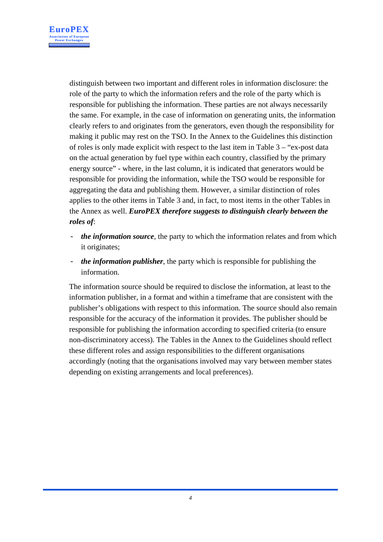

distinguish between two important and different roles in information disclosure: the role of the party to which the information refers and the role of the party which is responsible for publishing the information. These parties are not always necessarily the same. For example, in the case of information on generating units, the information clearly refers to and originates from the generators, even though the responsibility for making it public may rest on the TSO. In the Annex to the Guidelines this distinction of roles is only made explicit with respect to the last item in Table 3 – "ex-post data on the actual generation by fuel type within each country, classified by the primary energy source" - where, in the last column, it is indicated that generators would be responsible for providing the information, while the TSO would be responsible for aggregating the data and publishing them. However, a similar distinction of roles applies to the other items in Table 3 and, in fact, to most items in the other Tables in the Annex as well. *EuroPEX therefore suggests to distinguish clearly between the roles of*:

- *the information source*, the party to which the information relates and from which it originates;
- *the information publisher*, the party which is responsible for publishing the information.

The information source should be required to disclose the information, at least to the information publisher, in a format and within a timeframe that are consistent with the publisher's obligations with respect to this information. The source should also remain responsible for the accuracy of the information it provides. The publisher should be responsible for publishing the information according to specified criteria (to ensure non-discriminatory access). The Tables in the Annex to the Guidelines should reflect these different roles and assign responsibilities to the different organisations accordingly (noting that the organisations involved may vary between member states depending on existing arrangements and local preferences).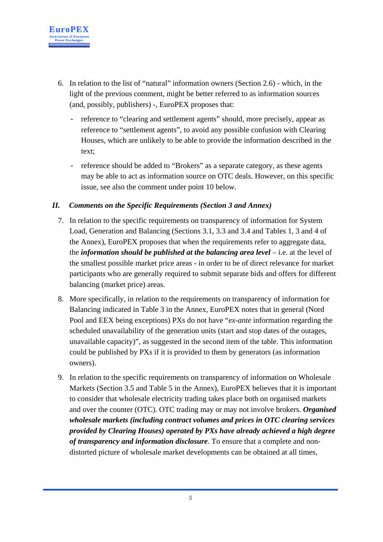

- 6. In relation to the list of "natural" information owners (Section 2.6) which, in the light of the previous comment, might be better referred to as information sources (and, possibly, publishers) -, EuroPEX proposes that:
	- reference to "clearing and settlement agents" should, more precisely, appear as reference to "settlement agents", to avoid any possible confusion with Clearing Houses, which are unlikely to be able to provide the information described in the text;
	- reference should be added to "Brokers" as a separate category, as these agents may be able to act as information source on OTC deals. However, on this specific issue, see also the comment under point 10 below.

#### *II. Comments on the Specific Requirements (Section 3 and Annex)*

- 7. In relation to the specific requirements on transparency of information for System Load, Generation and Balancing (Sections 3.1, 3.3 and 3.4 and Tables 1, 3 and 4 of the Annex), EuroPEX proposes that when the requirements refer to aggregate data, the *information should be published at the balancing area level* – i.e. at the level of the smallest possible market price areas - in order to be of direct relevance for market participants who are generally required to submit separate bids and offers for different balancing (market price) areas.
- 8. More specifically, in relation to the requirements on transparency of information for Balancing indicated in Table 3 in the Annex, EuroPEX notes that in general (Nord Pool and EEX being exceptions) PXs do not have "*ex-ante* information regarding the scheduled unavailability of the generation units (start and stop dates of the outages, unavailable capacity)", as suggested in the second item of the table. This information could be published by PXs if it is provided to them by generators (as information owners).
- 9. In relation to the specific requirements on transparency of information on Wholesale Markets (Section 3.5 and Table 5 in the Annex), EuroPEX believes that it is important to consider that wholesale electricity trading takes place both on organised markets and over the counter (OTC). OTC trading may or may not involve brokers. *Organised wholesale markets (including contract volumes and prices in OTC clearing services provided by Clearing Houses) operated by PXs have already achieved a high degree of transparency and information disclosure*. To ensure that a complete and nondistorted picture of wholesale market developments can be obtained at all times,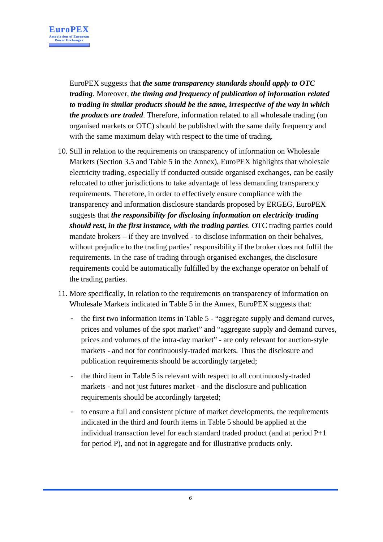

EuroPEX suggests that *the same transparency standards should apply to OTC trading*. Moreover, *the timing and frequency of publication of information related to trading in similar products should be the same, irrespective of the way in which the products are traded*. Therefore, information related to all wholesale trading (on organised markets or OTC) should be published with the same daily frequency and with the same maximum delay with respect to the time of trading.

- 10. Still in relation to the requirements on transparency of information on Wholesale Markets (Section 3.5 and Table 5 in the Annex), EuroPEX highlights that wholesale electricity trading, especially if conducted outside organised exchanges, can be easily relocated to other jurisdictions to take advantage of less demanding transparency requirements. Therefore, in order to effectively ensure compliance with the transparency and information disclosure standards proposed by ERGEG, EuroPEX suggests that *the responsibility for disclosing information on electricity trading should rest, in the first instance, with the trading parties*. OTC trading parties could mandate brokers – if they are involved - to disclose information on their behalves, without prejudice to the trading parties' responsibility if the broker does not fulfil the requirements. In the case of trading through organised exchanges, the disclosure requirements could be automatically fulfilled by the exchange operator on behalf of the trading parties.
- 11. More specifically, in relation to the requirements on transparency of information on Wholesale Markets indicated in Table 5 in the Annex, EuroPEX suggests that:
	- the first two information items in Table 5 "aggregate supply and demand curves, prices and volumes of the spot market" and "aggregate supply and demand curves, prices and volumes of the intra-day market" - are only relevant for auction-style markets - and not for continuously-traded markets. Thus the disclosure and publication requirements should be accordingly targeted;
	- the third item in Table 5 is relevant with respect to all continuously-traded markets - and not just futures market - and the disclosure and publication requirements should be accordingly targeted;
	- to ensure a full and consistent picture of market developments, the requirements indicated in the third and fourth items in Table 5 should be applied at the individual transaction level for each standard traded product (and at period P+1 for period P), and not in aggregate and for illustrative products only.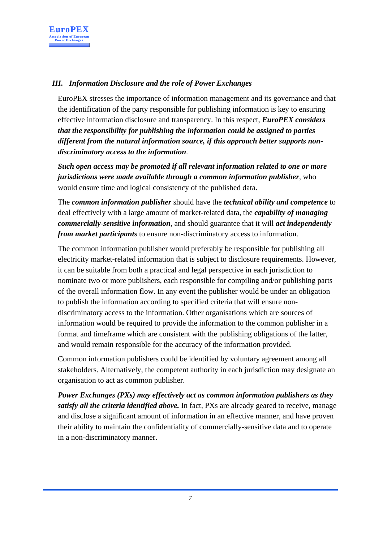

## *III. Information Disclosure and the role of Power Exchanges*

EuroPEX stresses the importance of information management and its governance and that the identification of the party responsible for publishing information is key to ensuring effective information disclosure and transparency. In this respect, *EuroPEX considers that the responsibility for publishing the information could be assigned to parties different from the natural information source, if this approach better supports nondiscriminatory access to the information*.

*Such open access may be promoted if all relevant information related to one or more jurisdictions were made available through a common information publisher*, who would ensure time and logical consistency of the published data.

The *common information publisher* should have the *technical ability and competence* to deal effectively with a large amount of market-related data, the *capability of managing commercially-sensitive information*, and should guarantee that it will *act independently from market participants* to ensure non-discriminatory access to information.

The common information publisher would preferably be responsible for publishing all electricity market-related information that is subject to disclosure requirements. However, it can be suitable from both a practical and legal perspective in each jurisdiction to nominate two or more publishers, each responsible for compiling and/or publishing parts of the overall information flow. In any event the publisher would be under an obligation to publish the information according to specified criteria that will ensure nondiscriminatory access to the information. Other organisations which are sources of information would be required to provide the information to the common publisher in a format and timeframe which are consistent with the publishing obligations of the latter, and would remain responsible for the accuracy of the information provided.

Common information publishers could be identified by voluntary agreement among all stakeholders. Alternatively, the competent authority in each jurisdiction may designate an organisation to act as common publisher.

*Power Exchanges (PXs) may effectively act as common information publishers as they satisfy all the criteria identified above.* In fact, PXs are already geared to receive, manage and disclose a significant amount of information in an effective manner, and have proven their ability to maintain the confidentiality of commercially-sensitive data and to operate in a non-discriminatory manner.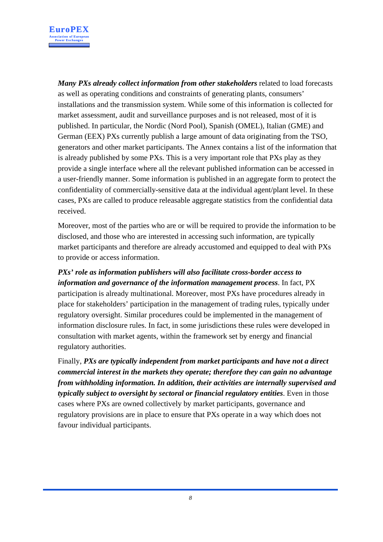

*Many PXs already collect information from other stakeholders* related to load forecasts as well as operating conditions and constraints of generating plants, consumers' installations and the transmission system. While some of this information is collected for market assessment, audit and surveillance purposes and is not released, most of it is published. In particular, the Nordic (Nord Pool), Spanish (OMEL), Italian (GME) and German (EEX) PXs currently publish a large amount of data originating from the TSO, generators and other market participants. The Annex contains a list of the information that is already published by some PXs. This is a very important role that PXs play as they provide a single interface where all the relevant published information can be accessed in a user-friendly manner. Some information is published in an aggregate form to protect the confidentiality of commercially-sensitive data at the individual agent/plant level. In these cases, PXs are called to produce releasable aggregate statistics from the confidential data received.

Moreover, most of the parties who are or will be required to provide the information to be disclosed, and those who are interested in accessing such information, are typically market participants and therefore are already accustomed and equipped to deal with PXs to provide or access information.

*PXs' role as information publishers will also facilitate cross-border access to information and governance of the information management process*. In fact, PX participation is already multinational. Moreover, most PXs have procedures already in place for stakeholders' participation in the management of trading rules, typically under regulatory oversight. Similar procedures could be implemented in the management of information disclosure rules. In fact, in some jurisdictions these rules were developed in consultation with market agents, within the framework set by energy and financial regulatory authorities.

Finally, *PXs are typically independent from market participants and have not a direct commercial interest in the markets they operate; therefore they can gain no advantage from withholding information. In addition, their activities are internally supervised and typically subject to oversight by sectoral or financial regulatory entities*. Even in those cases where PXs are owned collectively by market participants, governance and regulatory provisions are in place to ensure that PXs operate in a way which does not favour individual participants.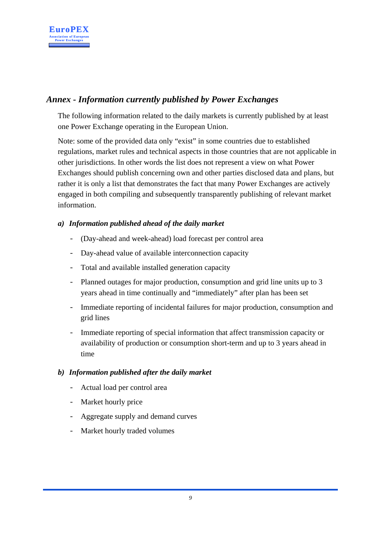

# *Annex - Information currently published by Power Exchanges*

The following information related to the daily markets is currently published by at least one Power Exchange operating in the European Union.

Note: some of the provided data only "exist" in some countries due to established regulations, market rules and technical aspects in those countries that are not applicable in other jurisdictions. In other words the list does not represent a view on what Power Exchanges should publish concerning own and other parties disclosed data and plans, but rather it is only a list that demonstrates the fact that many Power Exchanges are actively engaged in both compiling and subsequently transparently publishing of relevant market information.

## *a) Information published ahead of the daily market*

- (Day-ahead and week-ahead) load forecast per control area
- Day-ahead value of available interconnection capacity
- Total and available installed generation capacity
- Planned outages for major production, consumption and grid line units up to 3 years ahead in time continually and "immediately" after plan has been set
- Immediate reporting of incidental failures for major production, consumption and grid lines
- Immediate reporting of special information that affect transmission capacity or availability of production or consumption short-term and up to 3 years ahead in time

## *b) Information published after the daily market*

- Actual load per control area
- Market hourly price
- Aggregate supply and demand curves
- Market hourly traded volumes